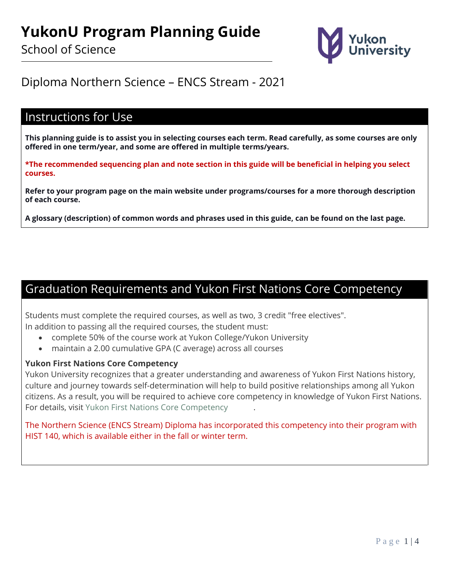

## Diploma Northern Science – ENCS Stream - 2021

### Instructions for Use

**This planning guide is to assist you in selecting courses each term. Read carefully, as some courses are only offered in one term/year, and some are offered in multiple terms/years.**

**\*The recommended sequencing plan and note section in this guide will be beneficial in helping you select courses.**

**Refer to your program page on the main website under programs/courses for a more thorough description of each course.**

**A glossary (description) of common words and phrases used in this guide, can be found on the last page.**

### Graduation Requirements and Yukon First Nations Core Competency

Students must complete the required courses, as well as two, 3 credit "free electives". In addition to passing all the required courses, the student must:

- complete 50% of the course work at Yukon College/Yukon University
- maintain a 2.00 cumulative GPA (C average) across all courses

### **Yukon First Nations Core Competency**

Yukon University recognizes that a greater understanding and awareness of Yukon First Nations history, culture and journey towards self-determination will help to build positive relationships among all Yukon citizens. As a result, you will be required to achieve core competency in knowledge of Yukon First Nations. For details, visit Yukon [First Nations Core Competency](https://www.yukonu.ca/yukon-first-nations-core-competency)

The Northern Science (ENCS Stream) Diploma has incorporated this competency into their program with HIST 140, which is available either in the fall or winter term.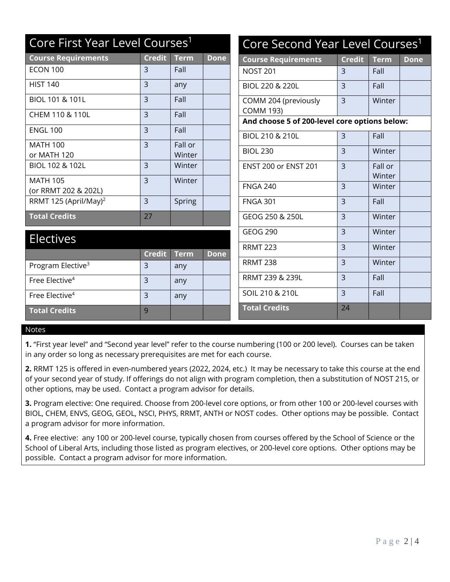| Core First Year Level Courses <sup>1</sup> |                | Core Second Year Level Courses <sup>1</sup> |             |                                               |                |             |  |
|--------------------------------------------|----------------|---------------------------------------------|-------------|-----------------------------------------------|----------------|-------------|--|
| <b>Course Requirements</b>                 | <b>Credit</b>  | <b>Term</b>                                 | <b>Done</b> | <b>Course Requirements</b>                    | <b>Credit</b>  | <b>Term</b> |  |
| <b>ECON 100</b>                            | 3              | Fall                                        |             | <b>NOST 201</b>                               | 3              | Fall        |  |
| <b>HIST 140</b>                            | 3              | any                                         |             | BIOL 220 & 220L                               | $\overline{3}$ | Fall        |  |
| BIOL 101 & 101L                            | 3              | Fall                                        |             | COMM 204 (previously                          | $\overline{3}$ | Winter      |  |
| CHEM 110 & 110L                            | 3              | Fall                                        |             | <b>COMM 193)</b>                              |                |             |  |
| <b>ENGL 100</b>                            | $\overline{3}$ | Fall                                        |             | And choose 5 of 200-level core options below: |                |             |  |
|                                            |                |                                             |             | BIOL 210 & 210L                               | $\overline{3}$ | Fall        |  |
| <b>MATH 100</b>                            | $\overline{3}$ | Fall or                                     |             | <b>BIOL 230</b>                               | $\overline{3}$ | Winter      |  |
| or MATH 120                                |                | Winter                                      |             |                                               |                |             |  |
| BIOL 102 & 102L                            | $\overline{3}$ | Winter                                      |             | <b>ENST 200 or ENST 201</b>                   | $\overline{3}$ | Fall or     |  |
| <b>MATH 105</b>                            | $\overline{3}$ | Winter                                      |             |                                               |                | Winter      |  |
| (or RRMT 202 & 202L)                       |                |                                             |             | <b>FNGA 240</b>                               | $\overline{3}$ | Winter      |  |
| RRMT 125 (April/May) <sup>2</sup>          | $\overline{3}$ | Spring                                      |             | <b>FNGA 301</b>                               | $\overline{3}$ | Fall        |  |
|                                            |                |                                             |             |                                               |                |             |  |
| <b>Total Credits</b>                       | 27             |                                             |             | GEOG 250 & 250L                               | $\overline{3}$ | Winter      |  |
| <b>Electives</b>                           |                |                                             |             | <b>GEOG 290</b>                               | $\overline{3}$ | Winter      |  |
|                                            |                |                                             |             | <b>RRMT 223</b>                               | $\overline{3}$ | Winter      |  |
|                                            | <b>Credit</b>  | <b>Term</b>                                 | <b>Done</b> |                                               |                |             |  |
| Program Elective <sup>3</sup>              | 3              | any                                         |             | <b>RRMT 238</b>                               | $\overline{3}$ | Winter      |  |
| Free Elective <sup>4</sup>                 | 3              | any                                         |             | RRMT 239 & 239L                               | $\overline{3}$ | Fall        |  |
|                                            |                |                                             |             |                                               |                |             |  |
| Free Elective <sup>4</sup>                 | 3              | any                                         |             | SOIL 210 & 210L                               | $\overline{3}$ | Fall        |  |
| <b>Total Credits</b>                       | 9              |                                             |             | <b>Total Credits</b>                          | 24             |             |  |

#### Notes

**1.** "First year level" and "Second year level" refer to the course numbering (100 or 200 level). Courses can be taken in any order so long as necessary prerequisites are met for each course.

**2.** RRMT 125 is offered in even-numbered years (2022, 2024, etc.) It may be necessary to take this course at the end of your second year of study. If offerings do not align with program completion, then a substitution of NOST 215, or other options, may be used. Contact a program advisor for details.

**3.** Program elective: One required. Choose from 200-level core options, or from other 100 or 200-level courses with BIOL, CHEM, ENVS, GEOG, GEOL, NSCI, PHYS, RRMT, ANTH or NOST codes. Other options may be possible. Contact a program advisor for more information.

**4.** Free elective: any 100 or 200-level course, typically chosen from courses offered by the School of Science or the School of Liberal Arts, including those listed as program electives, or 200-level core options. Other options may be possible. Contact a program advisor for more information.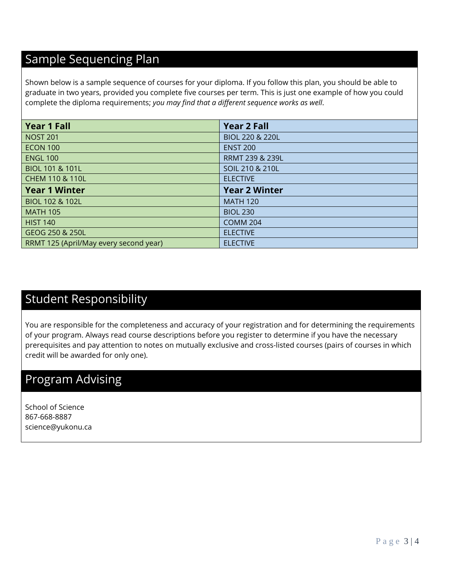# Sample Sequencing Plan

Shown below is a sample sequence of courses for your diploma. If you follow this plan, you should be able to graduate in two years, provided you complete five courses per term. This is just one example of how you could complete the diploma requirements; *you may find that a different sequence works as well*.

| <b>Year 1 Fall</b>                     | <b>Year 2 Fall</b>   |
|----------------------------------------|----------------------|
| <b>NOST 201</b>                        | BIOL 220 & 220L      |
| <b>ECON 100</b>                        | <b>ENST 200</b>      |
| <b>ENGL 100</b>                        | RRMT 239 & 239L      |
| BIOL 101 & 101L                        | SOIL 210 & 210L      |
| CHEM 110 & 110L                        | <b>ELECTIVE</b>      |
| <b>Year 1 Winter</b>                   | <b>Year 2 Winter</b> |
| <b>BIOL 102 &amp; 102L</b>             | <b>MATH 120</b>      |
| <b>MATH 105</b>                        | <b>BIOL 230</b>      |
| <b>HIST 140</b>                        | <b>COMM 204</b>      |
| GEOG 250 & 250L                        | <b>ELECTIVE</b>      |
| RRMT 125 (April/May every second year) | <b>ELECTIVE</b>      |

### Student Responsibility

You are responsible for the completeness and accuracy of your registration and for determining the requirements of your program. Always read course descriptions before you register to determine if you have the necessary prerequisites and pay attention to notes on mutually exclusive and cross-listed courses (pairs of courses in which credit will be awarded for only one).

# Program Advising

School of Science 867-668-8887 science@yukonu.ca